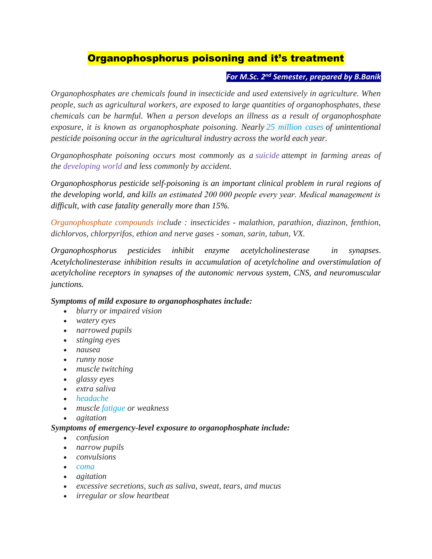# Organophosphorus poisoning and it's treatment

## *For M.Sc. 2nd Semester, prepared by B.Banik*

*Organophosphates are chemicals found in insecticide and used extensively in agriculture. When people, such as agricultural workers, are exposed to large quantities of organophosphates, these chemicals can be harmful. When a person develops an illness as a result of organophosphate exposure, it is known as organophosphate poisoning. Nearly [25 million cases](https://www.ncbi.nlm.nih.gov/pmc/articles/PMC2946087/) of unintentional pesticide poisoning occur in the agricultural industry across the world each year.*

*Organophosphate poisoning occurs most commonly as a [suicide](https://en.m.wikipedia.org/wiki/Suicide) attempt in farming areas of the [developing](https://en.m.wikipedia.org/wiki/Developing_world) world and less commonly by accident.*

*Organophosphorus pesticide self-poisoning is an important clinical problem in rural regions of the developing world, and kills an estimated 200 000 people every year. Medical management is difficult, with case fatality generally more than 15%.*

*Organophosphate compounds include : insecticides - malathion, parathion, diazinon, fenthion, dichlorvos, chlorpyrifos, ethion and nerve gases - soman, sarin, tabun, VX.*

*Organophosphorus pesticides inhibit enzyme acetylcholinesterase in synapses. Acetylcholinesterase inhibition results in accumulation of acetylcholine and overstimulation of acetylcholine receptors in synapses of the autonomic nervous system, CNS, and neuromuscular junctions.*

#### *Symptoms of mild exposure to organophosphates include:*

- *blurry or impaired vision*
- *watery eyes*
- *narrowed pupils*
- *stinging eyes*
- *nausea*
- *runny nose*
- *muscle twitching*
- *glassy eyes*
- *extra saliva*
- *[headache](https://www.medicalnewstoday.com/articles/73936.php)*
- *muscle [fatigue](https://www.medicalnewstoday.com/articles/248002.php) or weakness*
- *agitation*

#### *Symptoms of emergency-level exposure to organophosphate include:*

- *confusion*
- *narrow pupils*
- *convulsions*
- *[coma](https://www.medicalnewstoday.com/articles/173655.php)*
- *agitation*
- *excessive secretions, such as saliva, sweat, tears, and mucus*
- *irregular or slow heartbeat*